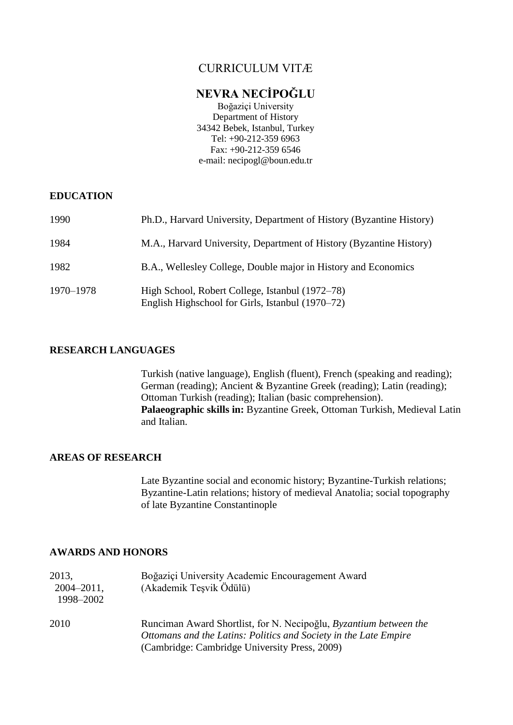## CURRICULUM VITÆ

## **NEVRA NECİPOĞLU**

Boğaziçi University Department of History 34342 Bebek, Istanbul, Turkey Tel: +90-212-359 6963 Fax: +90-212-359 6546 e-mail: necipogl@boun.edu.tr

### **EDUCATION**

| 1990      | Ph.D., Harvard University, Department of History (Byzantine History)                                |
|-----------|-----------------------------------------------------------------------------------------------------|
| 1984      | M.A., Harvard University, Department of History (Byzantine History)                                 |
| 1982      | B.A., Wellesley College, Double major in History and Economics                                      |
| 1970–1978 | High School, Robert College, Istanbul (1972–78)<br>English Highschool for Girls, Istanbul (1970–72) |

### **RESEARCH LANGUAGES**

Turkish (native language), English (fluent), French (speaking and reading); German (reading); Ancient & Byzantine Greek (reading); Latin (reading); Ottoman Turkish (reading); Italian (basic comprehension). **Palaeographic skills in:** Byzantine Greek, Ottoman Turkish, Medieval Latin and Italian.

### **AREAS OF RESEARCH**

Late Byzantine social and economic history; Byzantine-Turkish relations; Byzantine-Latin relations; history of medieval Anatolia; social topography of late Byzantine Constantinople

## **AWARDS AND HONORS**

| 2013,<br>$2004 - 2011$ ,<br>1998-2002 | Boğaziçi University Academic Encouragement Award<br>(Akademik Teşvik Ödülü)                                                                                                            |
|---------------------------------------|----------------------------------------------------------------------------------------------------------------------------------------------------------------------------------------|
| 2010                                  | Runciman Award Shortlist, for N. Necipoğlu, Byzantium between the<br>Ottomans and the Latins: Politics and Society in the Late Empire<br>(Cambridge: Cambridge University Press, 2009) |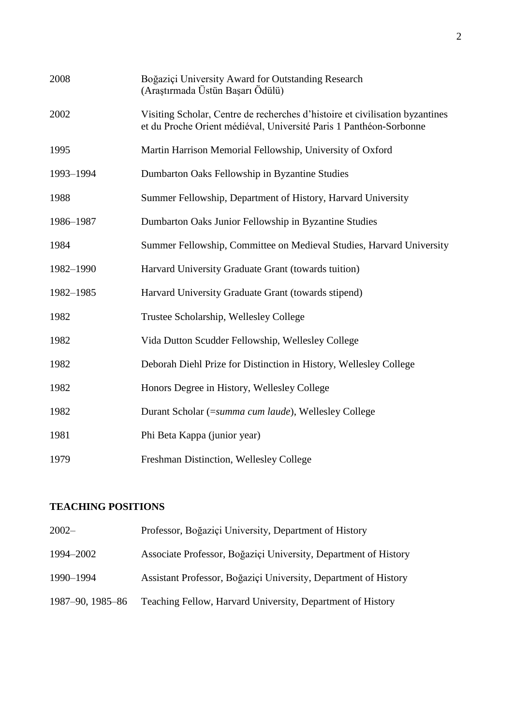| 2008      | Boğaziçi University Award for Outstanding Research<br>(Araştırmada Üstün Başarı Ödülü)                                                             |
|-----------|----------------------------------------------------------------------------------------------------------------------------------------------------|
| 2002      | Visiting Scholar, Centre de recherches d'histoire et civilisation byzantines<br>et du Proche Orient médiéval, Université Paris 1 Panthéon-Sorbonne |
| 1995      | Martin Harrison Memorial Fellowship, University of Oxford                                                                                          |
| 1993-1994 | Dumbarton Oaks Fellowship in Byzantine Studies                                                                                                     |
| 1988      | Summer Fellowship, Department of History, Harvard University                                                                                       |
| 1986-1987 | Dumbarton Oaks Junior Fellowship in Byzantine Studies                                                                                              |
| 1984      | Summer Fellowship, Committee on Medieval Studies, Harvard University                                                                               |
| 1982-1990 | Harvard University Graduate Grant (towards tuition)                                                                                                |
| 1982-1985 | Harvard University Graduate Grant (towards stipend)                                                                                                |
| 1982      | Trustee Scholarship, Wellesley College                                                                                                             |
| 1982      | Vida Dutton Scudder Fellowship, Wellesley College                                                                                                  |
| 1982      | Deborah Diehl Prize for Distinction in History, Wellesley College                                                                                  |
| 1982      | Honors Degree in History, Wellesley College                                                                                                        |
| 1982      | Durant Scholar (=summa cum laude), Wellesley College                                                                                               |
| 1981      | Phi Beta Kappa (junior year)                                                                                                                       |
| 1979      | Freshman Distinction, Wellesley College                                                                                                            |

## **TEACHING POSITIONS**

| $2002 -$         | Professor, Boğaziçi University, Department of History           |
|------------------|-----------------------------------------------------------------|
| 1994-2002        | Associate Professor, Boğaziçi University, Department of History |
| 1990-1994        | Assistant Professor, Boğaziçi University, Department of History |
| 1987–90, 1985–86 | Teaching Fellow, Harvard University, Department of History      |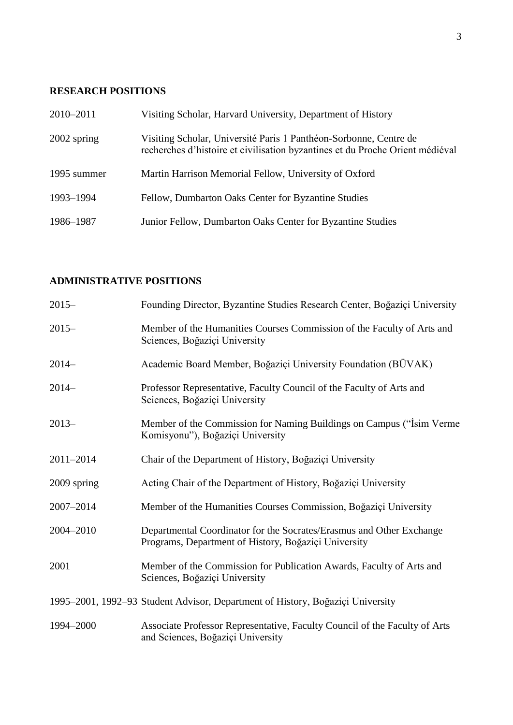## **RESEARCH POSITIONS**

| 2010-2011     | Visiting Scholar, Harvard University, Department of History                                                                                        |
|---------------|----------------------------------------------------------------------------------------------------------------------------------------------------|
| $2002$ spring | Visiting Scholar, Université Paris 1 Panthéon-Sorbonne, Centre de<br>recherches d'histoire et civilisation byzantines et du Proche Orient médiéval |
| 1995 summer   | Martin Harrison Memorial Fellow, University of Oxford                                                                                              |
| 1993-1994     | Fellow, Dumbarton Oaks Center for Byzantine Studies                                                                                                |
| 1986–1987     | Junior Fellow, Dumbarton Oaks Center for Byzantine Studies                                                                                         |

## **ADMINISTRATIVE POSITIONS**

| $2015 -$    | Founding Director, Byzantine Studies Research Center, Boğaziçi University                                                    |
|-------------|------------------------------------------------------------------------------------------------------------------------------|
| $2015 -$    | Member of the Humanities Courses Commission of the Faculty of Arts and<br>Sciences, Boğaziçi University                      |
| $2014-$     | Academic Board Member, Boğaziçi University Foundation (BÜVAK)                                                                |
| $2014-$     | Professor Representative, Faculty Council of the Faculty of Arts and<br>Sciences, Boğaziçi University                        |
| $2013-$     | Member of the Commission for Naming Buildings on Campus ("Isim Verme"<br>Komisyonu"), Boğaziçi University                    |
| 2011-2014   | Chair of the Department of History, Boğaziçi University                                                                      |
| 2009 spring | Acting Chair of the Department of History, Boğaziçi University                                                               |
| 2007-2014   | Member of the Humanities Courses Commission, Boğaziçi University                                                             |
| 2004-2010   | Departmental Coordinator for the Socrates/Erasmus and Other Exchange<br>Programs, Department of History, Boğaziçi University |
| 2001        | Member of the Commission for Publication Awards, Faculty of Arts and<br>Sciences, Boğaziçi University                        |
|             | 1995–2001, 1992–93 Student Advisor, Department of History, Boğaziçi University                                               |
| 1994-2000   | Associate Professor Representative, Faculty Council of the Faculty of Arts<br>and Sciences, Boğaziçi University              |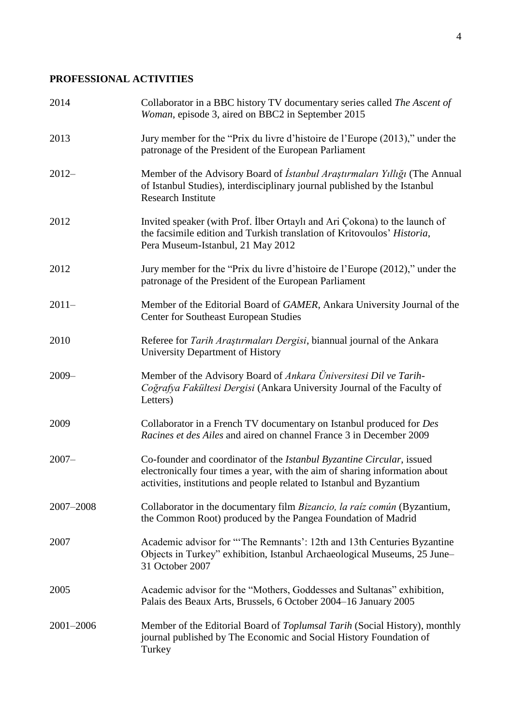## **PROFESSIONAL ACTIVITIES**

| 2014      | Collaborator in a BBC history TV documentary series called The Ascent of<br>Woman, episode 3, aired on BBC2 in September 2015                                                                                                 |
|-----------|-------------------------------------------------------------------------------------------------------------------------------------------------------------------------------------------------------------------------------|
| 2013      | Jury member for the "Prix du livre d'histoire de l'Europe (2013)," under the<br>patronage of the President of the European Parliament                                                                                         |
| $2012 -$  | Member of the Advisory Board of <i>İstanbul Araştırmaları Yıllığı</i> (The Annual<br>of Istanbul Studies), interdisciplinary journal published by the Istanbul<br><b>Research Institute</b>                                   |
| 2012      | Invited speaker (with Prof. Ilber Ortaylı and Ari Çokona) to the launch of<br>the facsimile edition and Turkish translation of Kritovoulos' Historia,<br>Pera Museum-Istanbul, 21 May 2012                                    |
| 2012      | Jury member for the "Prix du livre d'histoire de l'Europe (2012)," under the<br>patronage of the President of the European Parliament                                                                                         |
| $2011-$   | Member of the Editorial Board of GAMER, Ankara University Journal of the<br><b>Center for Southeast European Studies</b>                                                                                                      |
| 2010      | Referee for Tarih Araştırmaları Dergisi, biannual journal of the Ankara<br>University Department of History                                                                                                                   |
| $2009 -$  | Member of the Advisory Board of Ankara Üniversitesi Dil ve Tarih-<br>Coğrafya Fakültesi Dergisi (Ankara University Journal of the Faculty of<br>Letters)                                                                      |
| 2009      | Collaborator in a French TV documentary on Istanbul produced for Des<br>Racines et des Ailes and aired on channel France 3 in December 2009                                                                                   |
| $2007 -$  | Co-founder and coordinator of the Istanbul Byzantine Circular, issued<br>electronically four times a year, with the aim of sharing information about<br>activities, institutions and people related to Istanbul and Byzantium |
| 2007-2008 | Collaborator in the documentary film Bizancio, la raíz común (Byzantium,<br>the Common Root) produced by the Pangea Foundation of Madrid                                                                                      |
| 2007      | Academic advisor for "The Remnants': 12th and 13th Centuries Byzantine<br>Objects in Turkey" exhibition, Istanbul Archaeological Museums, 25 June-<br>31 October 2007                                                         |
| 2005      | Academic advisor for the "Mothers, Goddesses and Sultanas" exhibition,<br>Palais des Beaux Arts, Brussels, 6 October 2004-16 January 2005                                                                                     |
| 2001-2006 | Member of the Editorial Board of Toplumsal Tarih (Social History), monthly<br>journal published by The Economic and Social History Foundation of<br>Turkey                                                                    |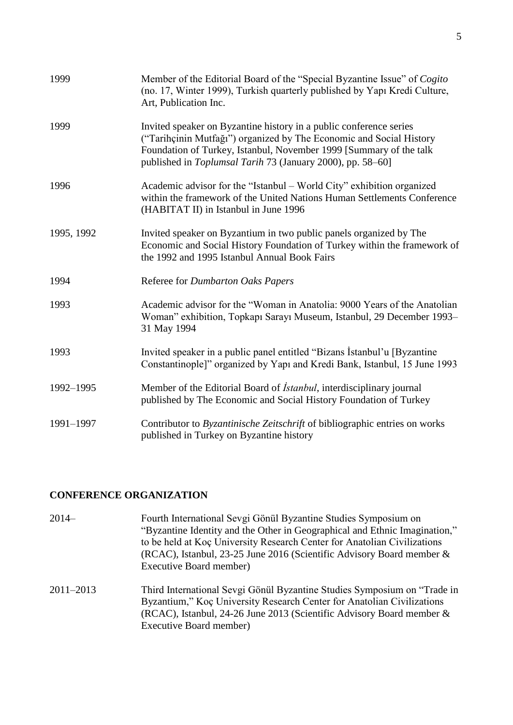| 1999       | Member of the Editorial Board of the "Special Byzantine Issue" of Cogito<br>(no. 17, Winter 1999), Turkish quarterly published by Yapı Kredi Culture,<br>Art, Publication Inc.                                                                                                       |
|------------|--------------------------------------------------------------------------------------------------------------------------------------------------------------------------------------------------------------------------------------------------------------------------------------|
| 1999       | Invited speaker on Byzantine history in a public conference series<br>("Tarihçinin Mutfağı") organized by The Economic and Social History<br>Foundation of Turkey, Istanbul, November 1999 [Summary of the talk<br>published in <i>Toplumsal Tarih</i> 73 (January 2000), pp. 58–60] |
| 1996       | Academic advisor for the "Istanbul – World City" exhibition organized<br>within the framework of the United Nations Human Settlements Conference<br>(HABITAT II) in Istanbul in June 1996                                                                                            |
| 1995, 1992 | Invited speaker on Byzantium in two public panels organized by The<br>Economic and Social History Foundation of Turkey within the framework of<br>the 1992 and 1995 Istanbul Annual Book Fairs                                                                                       |
| 1994       | Referee for Dumbarton Oaks Papers                                                                                                                                                                                                                                                    |
| 1993       | Academic advisor for the "Woman in Anatolia: 9000 Years of the Anatolian<br>Woman" exhibition, Topkapı Sarayı Museum, Istanbul, 29 December 1993-<br>31 May 1994                                                                                                                     |
| 1993       | Invited speaker in a public panel entitled "Bizans Istanbul'u [Byzantine]<br>Constantinople]" organized by Yapı and Kredi Bank, Istanbul, 15 June 1993                                                                                                                               |
| 1992-1995  | Member of the Editorial Board of <i>İstanbul</i> , interdisciplinary journal<br>published by The Economic and Social History Foundation of Turkey                                                                                                                                    |
| 1991-1997  | Contributor to Byzantinische Zeitschrift of bibliographic entries on works<br>published in Turkey on Byzantine history                                                                                                                                                               |

### **CONFERENCE ORGANIZATION**

- 2014– Fourth International Sevgi Gönül Byzantine Studies Symposium on "Byzantine Identity and the Other in Geographical and Ethnic Imagination," to be held at Koç University Research Center for Anatolian Civilizations (RCAC), Istanbul, 23-25 June 2016 (Scientific Advisory Board member & Executive Board member)
- 2011–2013 Third International Sevgi Gönül Byzantine Studies Symposium on "Trade in Byzantium," Koç University Research Center for Anatolian Civilizations (RCAC), Istanbul, 24-26 June 2013 (Scientific Advisory Board member & Executive Board member)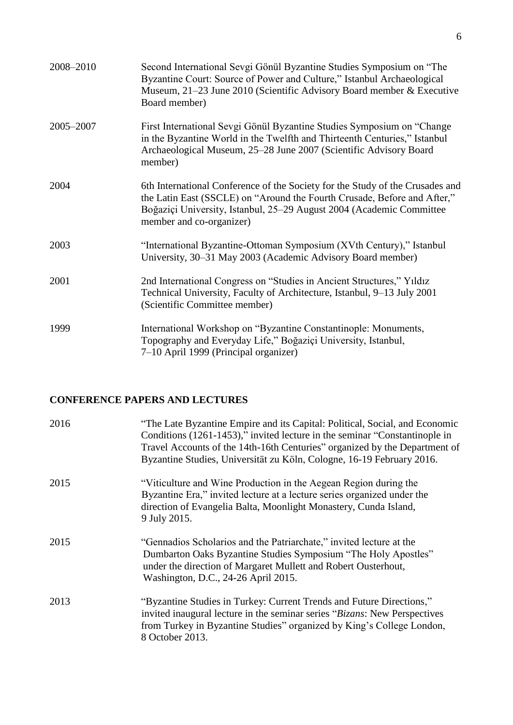| 2008-2010 | Second International Sevgi Gönül Byzantine Studies Symposium on "The<br>Byzantine Court: Source of Power and Culture," Istanbul Archaeological<br>Museum, 21–23 June 2010 (Scientific Advisory Board member & Executive<br>Board member)                      |
|-----------|---------------------------------------------------------------------------------------------------------------------------------------------------------------------------------------------------------------------------------------------------------------|
| 2005-2007 | First International Sevgi Gönül Byzantine Studies Symposium on "Change"<br>in the Byzantine World in the Twelfth and Thirteenth Centuries," Istanbul<br>Archaeological Museum, 25-28 June 2007 (Scientific Advisory Board<br>member)                          |
| 2004      | 6th International Conference of the Society for the Study of the Crusades and<br>the Latin East (SSCLE) on "Around the Fourth Crusade, Before and After,"<br>Boğaziçi University, Istanbul, 25–29 August 2004 (Academic Committee<br>member and co-organizer) |
| 2003      | "International Byzantine-Ottoman Symposium (XVth Century)," Istanbul<br>University, 30-31 May 2003 (Academic Advisory Board member)                                                                                                                           |
| 2001      | 2nd International Congress on "Studies in Ancient Structures," Yildiz<br>Technical University, Faculty of Architecture, Istanbul, 9–13 July 2001<br>(Scientific Committee member)                                                                             |
| 1999      | International Workshop on "Byzantine Constantinople: Monuments,<br>Topography and Everyday Life," Boğaziçi University, Istanbul,<br>7–10 April 1999 (Principal organizer)                                                                                     |

### **CONFERENCE PAPERS AND LECTURES**

| 2016 | "The Late Byzantine Empire and its Capital: Political, Social, and Economic<br>Conditions (1261-1453)," invited lecture in the seminar "Constantinople in<br>Travel Accounts of the 14th-16th Centuries" organized by the Department of<br>Byzantine Studies, Universität zu Köln, Cologne, 16-19 February 2016. |
|------|------------------------------------------------------------------------------------------------------------------------------------------------------------------------------------------------------------------------------------------------------------------------------------------------------------------|
| 2015 | "Viticulture and Wine Production in the Aegean Region during the<br>Byzantine Era," invited lecture at a lecture series organized under the<br>direction of Evangelia Balta, Moonlight Monastery, Cunda Island,<br>9 July 2015.                                                                                  |
| 2015 | "Gennadios Scholarios and the Patriarchate," invited lecture at the<br>Dumbarton Oaks Byzantine Studies Symposium "The Holy Apostles"<br>under the direction of Margaret Mullett and Robert Ousterhout,<br>Washington, D.C., 24-26 April 2015.                                                                   |
| 2013 | "Byzantine Studies in Turkey: Current Trends and Future Directions,"<br>invited inaugural lecture in the seminar series "Bizans: New Perspectives<br>from Turkey in Byzantine Studies" organized by King's College London,<br>8 October 2013.                                                                    |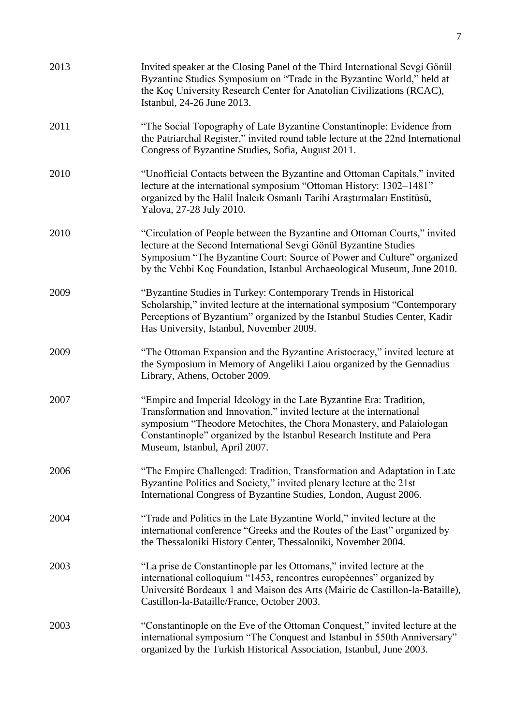| 2013 | Invited speaker at the Closing Panel of the Third International Sevgi Gönül<br>Byzantine Studies Symposium on "Trade in the Byzantine World," held at<br>the Koç University Research Center for Anatolian Civilizations (RCAC),<br>Istanbul, 24-26 June 2013.                                                                 |
|------|-------------------------------------------------------------------------------------------------------------------------------------------------------------------------------------------------------------------------------------------------------------------------------------------------------------------------------|
| 2011 | "The Social Topography of Late Byzantine Constantinople: Evidence from<br>the Patriarchal Register," invited round table lecture at the 22nd International<br>Congress of Byzantine Studies, Sofia, August 2011.                                                                                                              |
| 2010 | "Unofficial Contacts between the Byzantine and Ottoman Capitals," invited<br>lecture at the international symposium "Ottoman History: 1302–1481"<br>organized by the Halil Inalcik Osmanlı Tarihi Araştırmaları Enstitüsü,<br>Yalova, 27-28 July 2010.                                                                        |
| 2010 | "Circulation of People between the Byzantine and Ottoman Courts," invited<br>lecture at the Second International Sevgi Gönül Byzantine Studies<br>Symposium "The Byzantine Court: Source of Power and Culture" organized<br>by the Vehbi Koç Foundation, Istanbul Archaeological Museum, June 2010.                           |
| 2009 | "Byzantine Studies in Turkey: Contemporary Trends in Historical<br>Scholarship," invited lecture at the international symposium "Contemporary<br>Perceptions of Byzantium" organized by the Istanbul Studies Center, Kadir<br>Has University, Istanbul, November 2009.                                                        |
| 2009 | "The Ottoman Expansion and the Byzantine Aristocracy," invited lecture at<br>the Symposium in Memory of Angeliki Laiou organized by the Gennadius<br>Library, Athens, October 2009.                                                                                                                                           |
| 2007 | "Empire and Imperial Ideology in the Late Byzantine Era: Tradition,<br>Transformation and Innovation," invited lecture at the international<br>symposium "Theodore Metochites, the Chora Monastery, and Palaiologan<br>Constantinople" organized by the Istanbul Research Institute and Pera<br>Museum, Istanbul, April 2007. |
| 2006 | "The Empire Challenged: Tradition, Transformation and Adaptation in Late<br>Byzantine Politics and Society," invited plenary lecture at the 21st<br>International Congress of Byzantine Studies, London, August 2006.                                                                                                         |
| 2004 | "Trade and Politics in the Late Byzantine World," invited lecture at the<br>international conference "Greeks and the Routes of the East" organized by<br>the Thessaloniki History Center, Thessaloniki, November 2004.                                                                                                        |
| 2003 | "La prise de Constantinople par les Ottomans," invited lecture at the<br>international colloquium "1453, rencontres européennes" organized by<br>Université Bordeaux 1 and Maison des Arts (Mairie de Castillon-la-Bataille),<br>Castillon-la-Bataille/France, October 2003.                                                  |
| 2003 | "Constantinople on the Eve of the Ottoman Conquest," invited lecture at the<br>international symposium "The Conquest and Istanbul in 550th Anniversary"<br>organized by the Turkish Historical Association, Istanbul, June 2003.                                                                                              |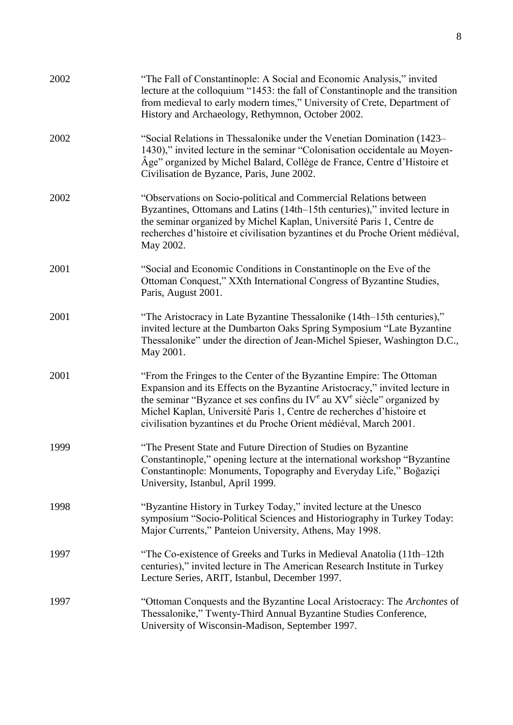| 2002 | "The Fall of Constantinople: A Social and Economic Analysis," invited<br>lecture at the colloquium "1453: the fall of Constantinople and the transition<br>from medieval to early modern times," University of Crete, Department of<br>History and Archaeology, Rethymnon, October 2002.                                                                                          |
|------|-----------------------------------------------------------------------------------------------------------------------------------------------------------------------------------------------------------------------------------------------------------------------------------------------------------------------------------------------------------------------------------|
| 2002 | "Social Relations in Thessalonike under the Venetian Domination (1423–<br>1430)," invited lecture in the seminar "Colonisation occidentale au Moyen-<br>Âge" organized by Michel Balard, Collège de France, Centre d'Histoire et<br>Civilisation de Byzance, Paris, June 2002.                                                                                                    |
| 2002 | "Observations on Socio-political and Commercial Relations between<br>Byzantines, Ottomans and Latins (14th–15th centuries)," invited lecture in<br>the seminar organized by Michel Kaplan, Université Paris 1, Centre de<br>recherches d'histoire et civilisation byzantines et du Proche Orient médiéval,<br>May 2002.                                                           |
| 2001 | "Social and Economic Conditions in Constantinople on the Eve of the<br>Ottoman Conquest," XXth International Congress of Byzantine Studies,<br>Paris, August 2001.                                                                                                                                                                                                                |
| 2001 | "The Aristocracy in Late Byzantine Thessalonike (14th–15th centuries),"<br>invited lecture at the Dumbarton Oaks Spring Symposium "Late Byzantine"<br>Thessalonike" under the direction of Jean-Michel Spieser, Washington D.C.,<br>May 2001.                                                                                                                                     |
| 2001 | "From the Fringes to the Center of the Byzantine Empire: The Ottoman<br>Expansion and its Effects on the Byzantine Aristocracy," invited lecture in<br>the seminar "Byzance et ses confins du $IV^e$ au $XV^e$ siècle" organized by<br>Michel Kaplan, Université Paris 1, Centre de recherches d'histoire et<br>civilisation byzantines et du Proche Orient médiéval, March 2001. |
| 1999 | "The Present State and Future Direction of Studies on Byzantine<br>Constantinople," opening lecture at the international workshop "Byzantine"<br>Constantinople: Monuments, Topography and Everyday Life," Boğaziçi<br>University, Istanbul, April 1999.                                                                                                                          |
| 1998 | "Byzantine History in Turkey Today," invited lecture at the Unesco<br>symposium "Socio-Political Sciences and Historiography in Turkey Today:<br>Major Currents," Panteion University, Athens, May 1998.                                                                                                                                                                          |
| 1997 | "The Co-existence of Greeks and Turks in Medieval Anatolia (11th–12th<br>centuries)," invited lecture in The American Research Institute in Turkey<br>Lecture Series, ARIT, Istanbul, December 1997.                                                                                                                                                                              |
| 1997 | "Ottoman Conquests and the Byzantine Local Aristocracy: The Archontes of<br>Thessalonike," Twenty-Third Annual Byzantine Studies Conference,<br>University of Wisconsin-Madison, September 1997.                                                                                                                                                                                  |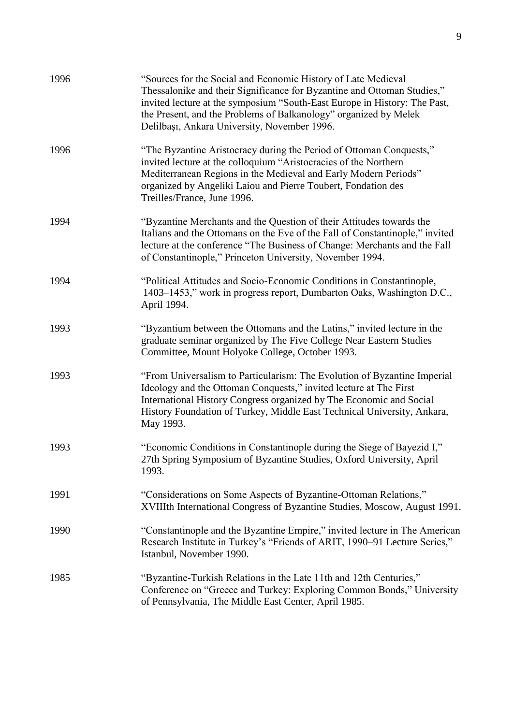| 1996 | "Sources for the Social and Economic History of Late Medieval<br>Thessalonike and their Significance for Byzantine and Ottoman Studies,"<br>invited lecture at the symposium "South-East Europe in History: The Past,<br>the Present, and the Problems of Balkanology" organized by Melek<br>Delilbaşı, Ankara University, November 1996. |
|------|-------------------------------------------------------------------------------------------------------------------------------------------------------------------------------------------------------------------------------------------------------------------------------------------------------------------------------------------|
| 1996 | "The Byzantine Aristocracy during the Period of Ottoman Conquests,"<br>invited lecture at the colloquium "Aristocracies of the Northern<br>Mediterranean Regions in the Medieval and Early Modern Periods"<br>organized by Angeliki Laiou and Pierre Toubert, Fondation des<br>Treilles/France, June 1996.                                |
| 1994 | "Byzantine Merchants and the Question of their Attitudes towards the<br>Italians and the Ottomans on the Eve of the Fall of Constantinople," invited<br>lecture at the conference "The Business of Change: Merchants and the Fall<br>of Constantinople," Princeton University, November 1994.                                             |
| 1994 | "Political Attitudes and Socio-Economic Conditions in Constantinople,<br>1403–1453," work in progress report, Dumbarton Oaks, Washington D.C.,<br>April 1994.                                                                                                                                                                             |
| 1993 | "Byzantium between the Ottomans and the Latins," invited lecture in the<br>graduate seminar organized by The Five College Near Eastern Studies<br>Committee, Mount Holyoke College, October 1993.                                                                                                                                         |
| 1993 | "From Universalism to Particularism: The Evolution of Byzantine Imperial<br>Ideology and the Ottoman Conquests," invited lecture at The First<br>International History Congress organized by The Economic and Social<br>History Foundation of Turkey, Middle East Technical University, Ankara,<br>May 1993.                              |
| 1993 | "Economic Conditions in Constantinople during the Siege of Bayezid I,"<br>27th Spring Symposium of Byzantine Studies, Oxford University, April<br>1993.                                                                                                                                                                                   |
| 1991 | "Considerations on Some Aspects of Byzantine-Ottoman Relations,"<br>XVIIIth International Congress of Byzantine Studies, Moscow, August 1991.                                                                                                                                                                                             |
| 1990 | "Constantinople and the Byzantine Empire," invited lecture in The American<br>Research Institute in Turkey's "Friends of ARIT, 1990-91 Lecture Series,"<br>Istanbul, November 1990.                                                                                                                                                       |
| 1985 | "Byzantine-Turkish Relations in the Late 11th and 12th Centuries,"<br>Conference on "Greece and Turkey: Exploring Common Bonds," University<br>of Pennsylvania, The Middle East Center, April 1985.                                                                                                                                       |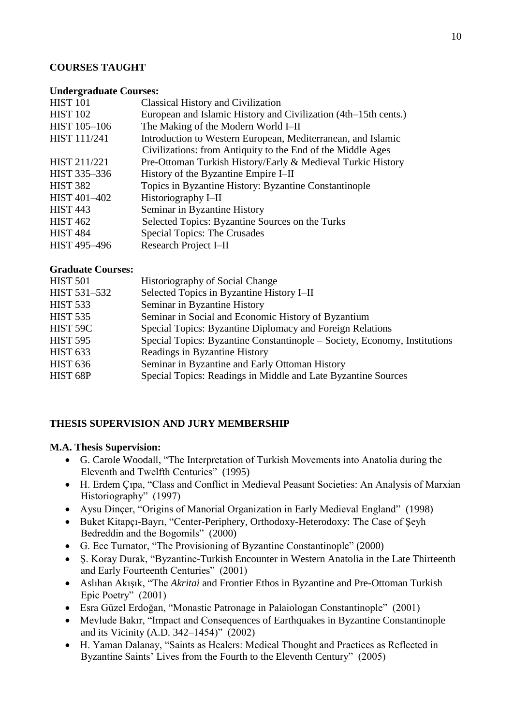### **COURSES TAUGHT**

#### **Undergraduate Courses:**

| <b>HIST 101</b> | <b>Classical History and Civilization</b>                       |
|-----------------|-----------------------------------------------------------------|
| <b>HIST 102</b> | European and Islamic History and Civilization (4th–15th cents.) |
| HIST 105-106    | The Making of the Modern World I–II                             |
| HIST 111/241    | Introduction to Western European, Mediterranean, and Islamic    |
|                 | Civilizations: from Antiquity to the End of the Middle Ages     |
| HIST 211/221    | Pre-Ottoman Turkish History/Early & Medieval Turkic History     |
| HIST 335-336    | History of the Byzantine Empire I–II                            |
| <b>HIST 382</b> | Topics in Byzantine History: Byzantine Constantinople           |
| HIST 401-402    | Historiography I-II                                             |
| <b>HIST 443</b> | Seminar in Byzantine History                                    |
| <b>HIST 462</b> | Selected Topics: Byzantine Sources on the Turks                 |
| <b>HIST 484</b> | <b>Special Topics: The Crusades</b>                             |
| HIST 495-496    | Research Project I-II                                           |

#### **Graduate Courses:**

| <b>HIST 501</b> | Historiography of Social Change                                           |
|-----------------|---------------------------------------------------------------------------|
| HIST 531-532    | Selected Topics in Byzantine History I-II                                 |
| <b>HIST 533</b> | Seminar in Byzantine History                                              |
| <b>HIST 535</b> | Seminar in Social and Economic History of Byzantium                       |
| HIST 59C        | Special Topics: Byzantine Diplomacy and Foreign Relations                 |
| <b>HIST 595</b> | Special Topics: Byzantine Constantinople – Society, Economy, Institutions |
| <b>HIST 633</b> | Readings in Byzantine History                                             |
| <b>HIST 636</b> | Seminar in Byzantine and Early Ottoman History                            |
| HIST 68P        | Special Topics: Readings in Middle and Late Byzantine Sources             |
|                 |                                                                           |

### **THESIS SUPERVISION AND JURY MEMBERSHIP**

### **M.A. Thesis Supervision:**

- G. Carole Woodall, "The Interpretation of Turkish Movements into Anatolia during the Eleventh and Twelfth Centuries" (1995)
- H. Erdem Çıpa, "Class and Conflict in Medieval Peasant Societies: An Analysis of Marxian Historiography" (1997)
- Aysu Dinçer, "Origins of Manorial Organization in Early Medieval England" (1998)
- Buket Kitapçı-Bayrı, "Center-Periphery, Orthodoxy-Heterodoxy: The Case of Şeyh Bedreddin and the Bogomils" (2000)
- G. Ece Turnator, "The Provisioning of Byzantine Constantinople" (2000)
- Ş. Koray Durak, "Byzantine-Turkish Encounter in Western Anatolia in the Late Thirteenth and Early Fourteenth Centuries" (2001)
- Aslıhan Akışık, "The *Akritai* and Frontier Ethos in Byzantine and Pre-Ottoman Turkish Epic Poetry" (2001)
- Esra Güzel Erdoğan, "Monastic Patronage in Palaiologan Constantinople" (2001)
- Mevlude Bakır, "Impact and Consequences of Earthquakes in Byzantine Constantinople and its Vicinity (A.D. 342–1454)" (2002)
- H. Yaman Dalanay, "Saints as Healers: Medical Thought and Practices as Reflected in Byzantine Saints' Lives from the Fourth to the Eleventh Century" (2005)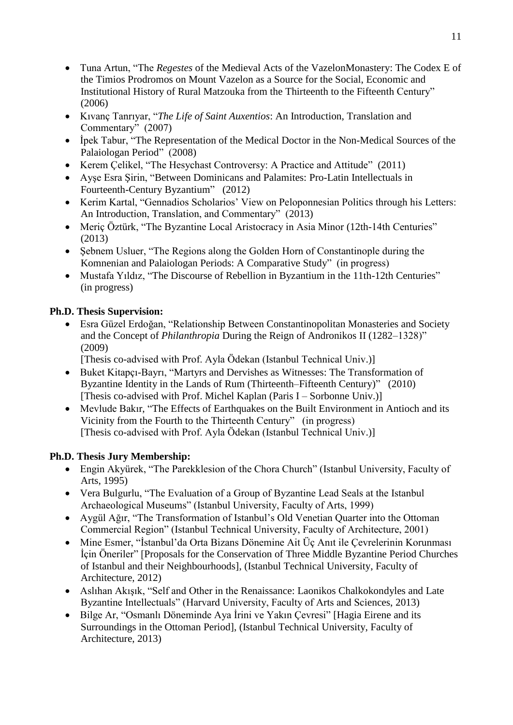- Tuna Artun, "The *Regestes* of the Medieval Acts of the VazelonMonastery: The Codex E of the Timios Prodromos on Mount Vazelon as a Source for the Social, Economic and Institutional History of Rural Matzouka from the Thirteenth to the Fifteenth Century" (2006)
- Kıvanç Tanrıyar, "*The Life of Saint Auxentios*: An Introduction, Translation and Commentary" (2007)
- İpek Tabur, "The Representation of the Medical Doctor in the Non-Medical Sources of the Palaiologan Period" (2008)
- Kerem Celikel, "The Hesychast Controversy: A Practice and Attitude" (2011)
- Ayşe Esra Şirin, "Between Dominicans and Palamites: Pro-Latin Intellectuals in Fourteenth-Century Byzantium" (2012)
- Kerim Kartal, "Gennadios Scholarios' View on Peloponnesian Politics through his Letters: An Introduction, Translation, and Commentary" (2013)
- Meric Öztürk, "The Byzantine Local Aristocracy in Asia Minor (12th-14th Centuries" (2013)
- Sebnem Usluer, "The Regions along the Golden Horn of Constantinople during the Komnenian and Palaiologan Periods: A Comparative Study" (in progress)
- Mustafa Yıldız, "The Discourse of Rebellion in Byzantium in the 11th-12th Centuries" (in progress)

## **Ph.D. Thesis Supervision:**

 Esra Güzel Erdoğan, "Relationship Between Constantinopolitan Monasteries and Society and the Concept of *Philanthropia* During the Reign of Andronikos II (1282–1328)" (2009)

[Thesis co-advised with Prof. Ayla Ödekan (Istanbul Technical Univ.)]

- Buket Kitapçı-Bayrı, "Martyrs and Dervishes as Witnesses: The Transformation of Byzantine Identity in the Lands of Rum (Thirteenth–Fifteenth Century)" (2010) [Thesis co-advised with Prof. Michel Kaplan (Paris I – Sorbonne Univ.)]
- Mevlude Bakır, "The Effects of Earthquakes on the Built Environment in Antioch and its Vicinity from the Fourth to the Thirteenth Century" (in progress) [Thesis co-advised with Prof. Ayla Ödekan (Istanbul Technical Univ.)]

## **Ph.D. Thesis Jury Membership:**

- Engin Akyürek, "The Parekklesion of the Chora Church" (Istanbul University, Faculty of Arts, 1995)
- Vera Bulgurlu, "The Evaluation of a Group of Byzantine Lead Seals at the Istanbul Archaeological Museums" (Istanbul University, Faculty of Arts, 1999)
- Aygül Ağır, "The Transformation of Istanbul's Old Venetian Quarter into the Ottoman Commercial Region" (Istanbul Technical University, Faculty of Architecture, 2001)
- Mine Esmer, "İstanbul'da Orta Bizans Dönemine Ait Üç Anıt ile Çevrelerinin Korunması İçin Öneriler" [Proposals for the Conservation of Three Middle Byzantine Period Churches of Istanbul and their Neighbourhoods], (Istanbul Technical University, Faculty of Architecture, 2012)
- Aslıhan Akışık, "Self and Other in the Renaissance: Laonikos Chalkokondyles and Late Byzantine Intellectuals" (Harvard University, Faculty of Arts and Sciences, 2013)
- Bilge Ar, "Osmanlı Döneminde Aya İrini ve Yakın Çevresi" [Hagia Eirene and its Surroundings in the Ottoman Period], (Istanbul Technical University, Faculty of Architecture, 2013)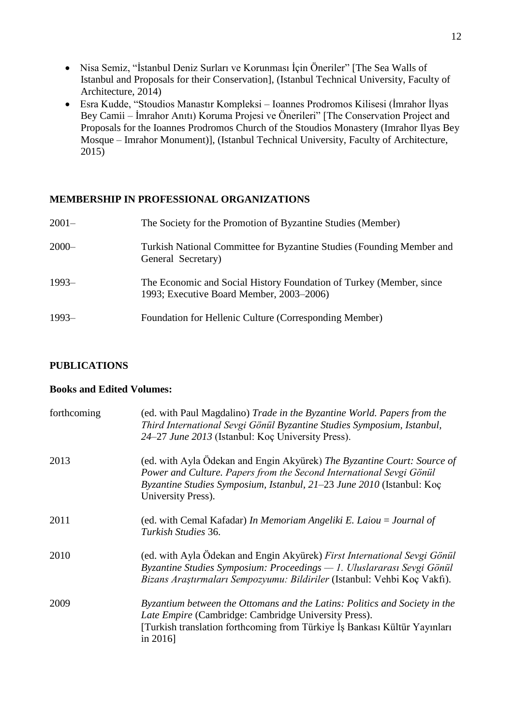- Nisa Semiz, "İstanbul Deniz Surları ve Korunması İçin Öneriler" [The Sea Walls of Istanbul and Proposals for their Conservation], (Istanbul Technical University, Faculty of Architecture, 2014)
- Esra Kudde, "Stoudios Manastır Kompleksi Ioannes Prodromos Kilisesi (İmrahor İlyas Bey Camii – İmrahor Anıtı) Koruma Projesi ve Önerileri" [The Conservation Project and Proposals for the Ioannes Prodromos Church of the Stoudios Monastery (Imrahor Ilyas Bey Mosque – Imrahor Monument)], (Istanbul Technical University, Faculty of Architecture, 2015)

### **MEMBERSHIP IN PROFESSIONAL ORGANIZATIONS**

| $2001 -$ | The Society for the Promotion of Byzantine Studies (Member)                                                     |
|----------|-----------------------------------------------------------------------------------------------------------------|
| $2000 -$ | Turkish National Committee for Byzantine Studies (Founding Member and<br>General Secretary)                     |
| $1993-$  | The Economic and Social History Foundation of Turkey (Member, since<br>1993; Executive Board Member, 2003–2006) |
| $1993-$  | Foundation for Hellenic Culture (Corresponding Member)                                                          |

### **PUBLICATIONS**

### **Books and Edited Volumes:**

| forthcoming | (ed. with Paul Magdalino) Trade in the Byzantine World. Papers from the<br>Third International Sevgi Gönül Byzantine Studies Symposium, Istanbul,<br>24–27 June 2013 (Istanbul: Koç University Press).                                        |
|-------------|-----------------------------------------------------------------------------------------------------------------------------------------------------------------------------------------------------------------------------------------------|
| 2013        | (ed. with Ayla Ödekan and Engin Akyürek) The Byzantine Court: Source of<br>Power and Culture. Papers from the Second International Sevgi Gönül<br>Byzantine Studies Symposium, Istanbul, 21–23 June 2010 (Istanbul: Koç<br>University Press). |
| 2011        | (ed. with Cemal Kafadar) In Memoriam Angeliki E. Laiou = Journal of<br>Turkish Studies 36.                                                                                                                                                    |
| 2010        | (ed. with Ayla Ödekan and Engin Akyürek) First International Sevgi Gönül<br>Byzantine Studies Symposium: Proceedings — 1. Uluslararası Sevgi Gönül<br>Bizans Araştırmaları Sempozyumu: Bildiriler (Istanbul: Vehbi Koç Vakfı).                |
| 2009        | Byzantium between the Ottomans and the Latins: Politics and Society in the<br>Late Empire (Cambridge: Cambridge University Press).<br>[Turkish translation forthcoming from Türkiye İş Bankası Kültür Yayınları]<br>in $2016$                 |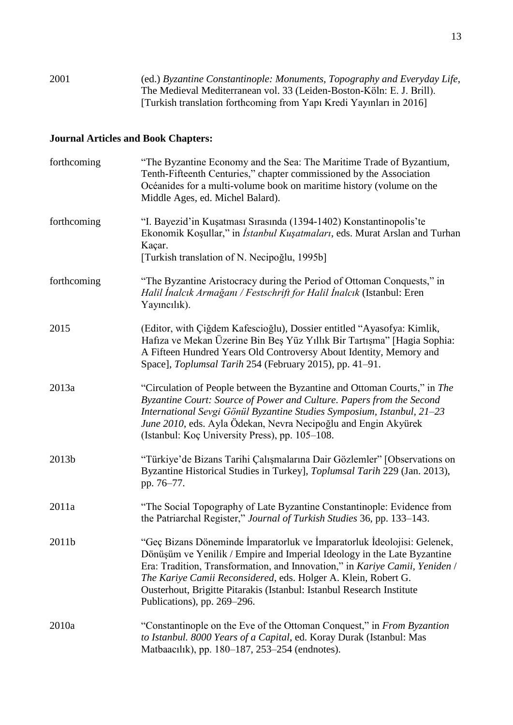2001 (ed.) *Byzantine Constantinople: Monuments, Topography and Everyday Life*, The Medieval Mediterranean vol. 33 (Leiden-Boston-Köln: E. J. Brill). [Turkish translation forthcoming from Yapı Kredi Yayınları in 2016]

## **Journal Articles and Book Chapters:**

| forthcoming | "The Byzantine Economy and the Sea: The Maritime Trade of Byzantium,<br>Tenth-Fifteenth Centuries," chapter commissioned by the Association<br>Océanides for a multi-volume book on maritime history (volume on the<br>Middle Ages, ed. Michel Balard).                                                                                                                                                     |
|-------------|-------------------------------------------------------------------------------------------------------------------------------------------------------------------------------------------------------------------------------------------------------------------------------------------------------------------------------------------------------------------------------------------------------------|
| forthcoming | "I. Bayezid'in Kuşatması Sırasında (1394-1402) Konstantinopolis'te<br>Ekonomik Koşullar," in İstanbul Kuşatmaları, eds. Murat Arslan and Turhan<br>Kaçar.<br>[Turkish translation of N. Necipoğlu, 1995b]                                                                                                                                                                                                   |
| forthcoming | "The Byzantine Aristocracy during the Period of Ottoman Conquests," in<br>Halil İnalcık Armağanı / Festschrift for Halil İnalcık (Istanbul: Eren<br>Yayıncılık).                                                                                                                                                                                                                                            |
| 2015        | (Editor, with Çiğdem Kafescioğlu), Dossier entitled "Ayasofya: Kimlik,<br>Hafiza ve Mekan Üzerine Bin Beş Yüz Yıllık Bir Tartışma" [Hagia Sophia:<br>A Fifteen Hundred Years Old Controversy About Identity, Memory and<br>Space], Toplumsal Tarih 254 (February 2015), pp. 41-91.                                                                                                                          |
| 2013a       | "Circulation of People between the Byzantine and Ottoman Courts," in The<br>Byzantine Court: Source of Power and Culture. Papers from the Second<br>International Sevgi Gönül Byzantine Studies Symposium, Istanbul, 21–23<br>June 2010, eds. Ayla Ödekan, Nevra Necipoğlu and Engin Akyürek<br>(Istanbul: Koç University Press), pp. 105–108.                                                              |
| 2013b       | "Türkiye'de Bizans Tarihi Çalışmalarına Dair Gözlemler" [Observations on<br>Byzantine Historical Studies in Turkey], Toplumsal Tarih 229 (Jan. 2013),<br>pp. 76-77.                                                                                                                                                                                                                                         |
| 2011a       | "The Social Topography of Late Byzantine Constantinople: Evidence from<br>the Patriarchal Register," Journal of Turkish Studies 36, pp. 133–143.                                                                                                                                                                                                                                                            |
| 2011b       | "Geç Bizans Döneminde İmparatorluk ve İmparatorluk İdeolojisi: Gelenek,<br>Dönüşüm ve Yenilik / Empire and Imperial Ideology in the Late Byzantine<br>Era: Tradition, Transformation, and Innovation," in Kariye Camii, Yeniden /<br>The Kariye Camii Reconsidered, eds. Holger A. Klein, Robert G.<br>Ousterhout, Brigitte Pitarakis (Istanbul: Istanbul Research Institute<br>Publications), pp. 269-296. |
| 2010a       | "Constantinople on the Eve of the Ottoman Conquest," in From Byzantion<br>to Istanbul. 8000 Years of a Capital, ed. Koray Durak (Istanbul: Mas<br>Matbaacılık), pp. 180-187, 253-254 (endnotes).                                                                                                                                                                                                            |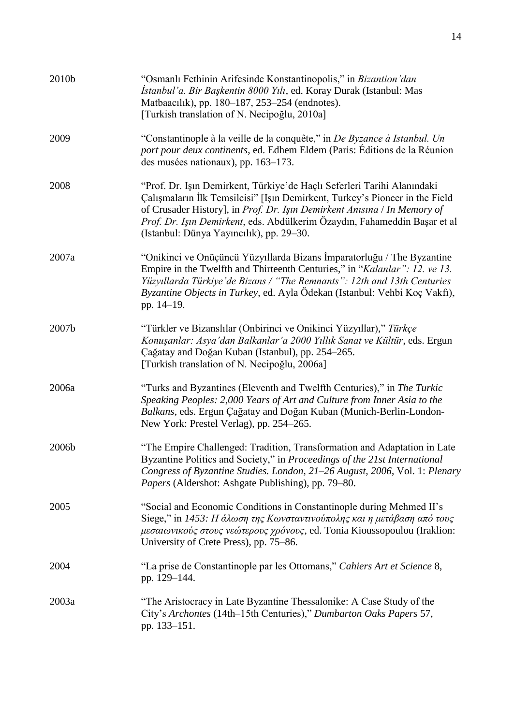| 2010b | "Osmanlı Fethinin Arifesinde Konstantinopolis," in Bizantion'dan<br>İstanbul'a. Bir Başkentin 8000 Yılı, ed. Koray Durak (Istanbul: Mas<br>Matbaacılık), pp. 180–187, 253–254 (endnotes).<br>[Turkish translation of N. Necipoğlu, 2010a]                                                                                                                   |
|-------|-------------------------------------------------------------------------------------------------------------------------------------------------------------------------------------------------------------------------------------------------------------------------------------------------------------------------------------------------------------|
| 2009  | "Constantinople à la veille de la conquête," in De Byzance à Istanbul. Un<br>port pour deux continents, ed. Edhem Eldem (Paris: Éditions de la Réunion<br>des musées nationaux), pp. 163–173.                                                                                                                                                               |
| 2008  | "Prof. Dr. Işın Demirkent, Türkiye'de Haçlı Seferleri Tarihi Alanındaki<br>Çalışmaların İlk Temsilcisi" [Işın Demirkent, Turkey's Pioneer in the Field<br>of Crusader History], in Prof. Dr. Işın Demirkent Anısına / In Memory of<br>Prof. Dr. Işın Demirkent, eds. Abdülkerim Özaydın, Fahameddin Başar et al<br>(Istanbul: Dünya Yayıncılık), pp. 29–30. |
| 2007a | "Onikinci ve Onüçüncü Yüzyıllarda Bizans İmparatorluğu / The Byzantine<br>Empire in the Twelfth and Thirteenth Centuries," in "Kalanlar": 12. ve 13.<br>Yüzyıllarda Türkiye'de Bizans / "The Remnants": 12th and 13th Centuries<br>Byzantine Objects in Turkey, ed. Ayla Ödekan (Istanbul: Vehbi Koç Vakfı),<br>pp. 14–19.                                  |
| 2007b | "Türkler ve Bizanslılar (Onbirinci ve Onikinci Yüzyıllar)," Türkçe<br>Konuşanlar: Asya'dan Balkanlar'a 2000 Yıllık Sanat ve Kültür, eds. Ergun<br>Çağatay and Doğan Kuban (Istanbul), pp. 254–265.<br>[Turkish translation of N. Necipoğlu, 2006a]                                                                                                          |
| 2006a | "Turks and Byzantines (Eleventh and Twelfth Centuries)," in The Turkic<br>Speaking Peoples: 2,000 Years of Art and Culture from Inner Asia to the<br>Balkans, eds. Ergun Çağatay and Doğan Kuban (Munich-Berlin-London-<br>New York: Prestel Verlag), pp. 254–265.                                                                                          |
| 2006b | "The Empire Challenged: Tradition, Transformation and Adaptation in Late<br>Byzantine Politics and Society," in Proceedings of the 21st International<br>Congress of Byzantine Studies. London, 21-26 August, 2006, Vol. 1: Plenary<br><i>Papers</i> (Aldershot: Ashgate Publishing), pp. 79–80.                                                            |
| 2005  | "Social and Economic Conditions in Constantinople during Mehmed II's<br>Siege," in 1453: Η άλωση της Κωνσταντινούπολης και η μετάβαση από τους<br>μεσαιωνικούς στους νεώτερους χρόνους, ed. Tonia Kioussopoulou (Iraklion:<br>University of Crete Press), pp. 75–86.                                                                                        |
| 2004  | "La prise de Constantinople par les Ottomans," Cahiers Art et Science 8,<br>pp. 129-144.                                                                                                                                                                                                                                                                    |
| 2003a | "The Aristocracy in Late Byzantine Thessalonike: A Case Study of the<br>City's Archontes (14th-15th Centuries)," Dumbarton Oaks Papers 57,<br>pp. 133–151.                                                                                                                                                                                                  |

14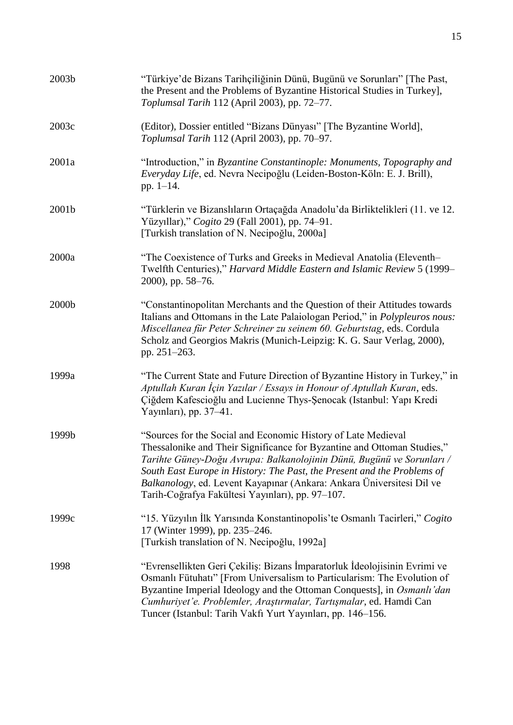| 2003b | "Türkiye'de Bizans Tarihçiliğinin Dünü, Bugünü ve Sorunları" [The Past,<br>the Present and the Problems of Byzantine Historical Studies in Turkey],<br>Toplumsal Tarih 112 (April 2003), pp. 72–77.                                                                                                                                                                                                                       |
|-------|---------------------------------------------------------------------------------------------------------------------------------------------------------------------------------------------------------------------------------------------------------------------------------------------------------------------------------------------------------------------------------------------------------------------------|
| 2003c | (Editor), Dossier entitled "Bizans Dünyası" [The Byzantine World],<br>Toplumsal Tarih 112 (April 2003), pp. 70–97.                                                                                                                                                                                                                                                                                                        |
| 2001a | "Introduction," in Byzantine Constantinople: Monuments, Topography and<br>Everyday Life, ed. Nevra Necipoğlu (Leiden-Boston-Köln: E. J. Brill),<br>pp. $1-14$ .                                                                                                                                                                                                                                                           |
| 2001b | "Türklerin ve Bizanslıların Ortaçağda Anadolu'da Birliktelikleri (11. ve 12.<br>Yüzyıllar)," Cogito 29 (Fall 2001), pp. 74–91.<br>[Turkish translation of N. Necipoğlu, 2000a]                                                                                                                                                                                                                                            |
| 2000a | "The Coexistence of Turks and Greeks in Medieval Anatolia (Eleventh-<br>Twelfth Centuries)," Harvard Middle Eastern and Islamic Review 5 (1999-<br>2000), pp. 58-76.                                                                                                                                                                                                                                                      |
| 2000b | "Constantinopolitan Merchants and the Question of their Attitudes towards<br>Italians and Ottomans in the Late Palaiologan Period," in <i>Polypleuros nous</i> :<br>Miscellanea für Peter Schreiner zu seinem 60. Geburtstag, eds. Cordula<br>Scholz and Georgios Makris (Munich-Leipzig: K. G. Saur Verlag, 2000),<br>pp. 251-263.                                                                                       |
| 1999a | "The Current State and Future Direction of Byzantine History in Turkey," in<br>Aptullah Kuran İçin Yazılar / Essays in Honour of Aptullah Kuran, eds.<br>Çiğdem Kafescioğlu and Lucienne Thys-Şenocak (Istanbul: Yapı Kredi<br>Yayınları), pp. 37–41.                                                                                                                                                                     |
| 1999b | "Sources for the Social and Economic History of Late Medieval<br>Thessalonike and Their Significance for Byzantine and Ottoman Studies,"<br>Tarihte Güney-Doğu Avrupa: Balkanolojinin Dünü, Bugünü ve Sorunları /<br>South East Europe in History: The Past, the Present and the Problems of<br>Balkanology, ed. Levent Kayapınar (Ankara: Ankara Üniversitesi Dil ve<br>Tarih-Coğrafya Fakültesi Yayınları), pp. 97-107. |
| 1999c | "15. Yüzyılın İlk Yarısında Konstantinopolis'te Osmanlı Tacirleri," Cogito<br>17 (Winter 1999), pp. 235–246.<br>[Turkish translation of N. Necipoğlu, 1992a]                                                                                                                                                                                                                                                              |
| 1998  | "Evrensellikten Geri Çekiliş: Bizans İmparatorluk İdeolojisinin Evrimi ve<br>Osmanlı Fütuhatı" [From Universalism to Particularism: The Evolution of<br>Byzantine Imperial Ideology and the Ottoman Conquests], in Osmanlı'dan<br>Cumhuriyet'e. Problemler, Araştırmalar, Tartışmalar, ed. Hamdi Can<br>Tuncer (Istanbul: Tarih Vakfı Yurt Yayınları, pp. 146–156.                                                        |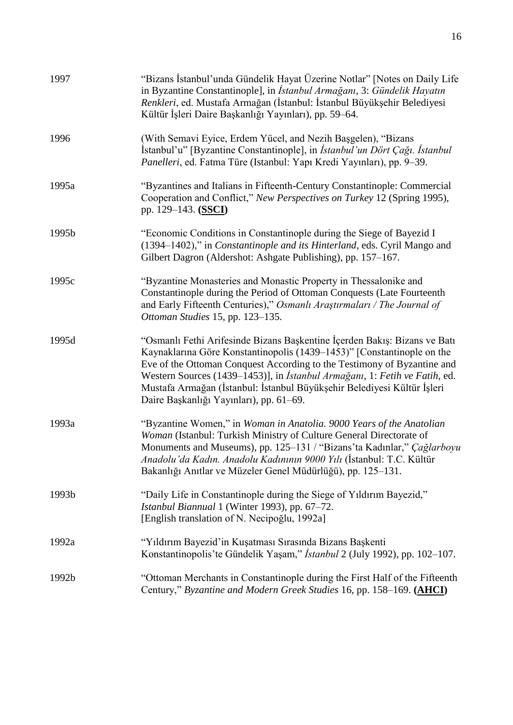| 1997  | "Bizans İstanbul'unda Gündelik Hayat Üzerine Notlar" [Notes on Daily Life<br>in Byzantine Constantinople], in <i>İstanbul Armağanı</i> , 3: Gündelik Hayatın<br>Renkleri, ed. Mustafa Armağan (İstanbul: İstanbul Büyükşehir Belediyesi<br>Kültür İşleri Daire Başkanlığı Yayınları), pp. 59–64.                                                                                                                                           |
|-------|--------------------------------------------------------------------------------------------------------------------------------------------------------------------------------------------------------------------------------------------------------------------------------------------------------------------------------------------------------------------------------------------------------------------------------------------|
| 1996  | (With Semavi Eyice, Erdem Yücel, and Nezih Başgelen), "Bizans<br>İstanbul'u" [Byzantine Constantinople], in <i>İstanbul'un Dört Çağı</i> . <i>İstanbul</i><br>Panelleri, ed. Fatma Türe (Istanbul: Yapı Kredi Yayınları), pp. 9-39.                                                                                                                                                                                                        |
| 1995a | "Byzantines and Italians in Fifteenth-Century Constantinople: Commercial<br>Cooperation and Conflict," New Perspectives on Turkey 12 (Spring 1995),<br>pp. 129–143. (SSCI)                                                                                                                                                                                                                                                                 |
| 1995b | "Economic Conditions in Constantinople during the Siege of Bayezid I<br>(1394–1402)," in Constantinople and its Hinterland, eds. Cyril Mango and<br>Gilbert Dagron (Aldershot: Ashgate Publishing), pp. 157–167.                                                                                                                                                                                                                           |
| 1995c | "Byzantine Monasteries and Monastic Property in Thessalonike and<br>Constantinople during the Period of Ottoman Conquests (Late Fourteenth<br>and Early Fifteenth Centuries)," Osmanlı Araştırmaları / The Journal of<br>Ottoman Studies 15, pp. 123-135.                                                                                                                                                                                  |
| 1995d | "Osmanlı Fethi Arifesinde Bizans Başkentine İçerden Bakış: Bizans ve Batı<br>Kaynaklarına Göre Konstantinopolis (1439–1453)" [Constantinople on the<br>Eve of the Ottoman Conquest According to the Testimony of Byzantine and<br>Western Sources (1439–1453)], in <i>İstanbul Armağanı</i> , 1: Fetih ve Fatih, ed.<br>Mustafa Armağan (İstanbul: İstanbul Büyükşehir Belediyesi Kültür İşleri<br>Daire Başkanlığı Yayınları), pp. 61–69. |
| 1993a | "Byzantine Women," in Woman in Anatolia. 9000 Years of the Anatolian<br>Woman (Istanbul: Turkish Ministry of Culture General Directorate of<br>Monuments and Museums), pp. 125-131 / "Bizans'ta Kadınlar," Çağlarboyu<br>Anadolu'da Kadın. Anadolu Kadınının 9000 Yılı (İstanbul: T.C. Kültür<br>Bakanlığı Anıtlar ve Müzeler Genel Müdürlüğü), pp. 125–131.                                                                               |
| 1993b | "Daily Life in Constantinople during the Siege of Yildirim Bayezid,"<br>Istanbul Biannual 1 (Winter 1993), pp. 67–72.<br>[English translation of N. Necipoğlu, 1992a]                                                                                                                                                                                                                                                                      |
| 1992a | "Yıldırım Bayezid'in Kuşatması Sırasında Bizans Başkenti<br>Konstantinopolis'te Gündelik Yaşam," İstanbul 2 (July 1992), pp. 102–107.                                                                                                                                                                                                                                                                                                      |
| 1992b | "Ottoman Merchants in Constantinople during the First Half of the Fifteenth<br>Century," Byzantine and Modern Greek Studies 16, pp. 158-169. (AHCI)                                                                                                                                                                                                                                                                                        |